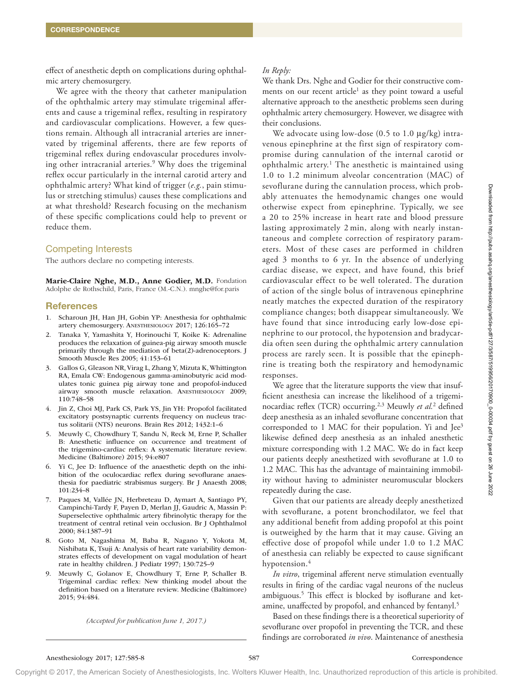effect of anesthetic depth on complications during ophthalmic artery chemosurgery.

We agree with the theory that catheter manipulation of the ophthalmic artery may stimulate trigeminal afferents and cause a trigeminal reflex, resulting in respiratory and cardiovascular complications. However, a few questions remain. Although all intracranial arteries are innervated by trigeminal afferents, there are few reports of trigeminal reflex during endovascular procedures involving other intracranial arteries.<sup>9</sup> Why does the trigeminal reflex occur particularly in the internal carotid artery and ophthalmic artery? What kind of trigger (*e.g.*, pain stimulus or stretching stimulus) causes these complications and at what threshold? Research focusing on the mechanism of these specific complications could help to prevent or reduce them.

## Competing Interests

The authors declare no competing interests.

Marie-Claire Nghe, M.D., Anne Godier, M.D. Fondation Adolphe de Rothschild, Paris, France (M.-C.N.). [mnghe@for.paris](mailto:￼￼mnghe@for.paris) 

#### **References**

- 1. Scharoun JH, Han JH, Gobin YP: Anesthesia for ophthalmic artery chemosurgery. ANESTHESIOLOGY 2017; 126:165–72
- 2. Tanaka Y, Yamashita Y, Horinouchi T, Koike K: Adrenaline produces the relaxation of guinea-pig airway smooth muscle primarily through the mediation of beta(2)-adrenoceptors. J Smooth Muscle Res 2005; 41:153–61
- 3. Gallos G, Gleason NR, Virag L, Zhang Y, Mizuta K, Whittington RA, Emala CW: Endogenous gamma-aminobutyric acid modulates tonic guinea pig airway tone and propofol-induced airway smooth muscle relaxation. ANESTHESIOLOGY 2009; 110:748–58
- 4. Jin Z, Choi MJ, Park CS, Park YS, Jin YH: Propofol facilitated excitatory postsynaptic currents frequency on nucleus tractus solitarii (NTS) neurons. Brain Res 2012; 1432:1–6
- 5. Meuwly C, Chowdhury T, Sandu N, Reck M, Erne P, Schaller B: Anesthetic influence on occurrence and treatment of the trigemino-cardiac reflex: A systematic literature review. Medicine (Baltimore) 2015; 94:e807
- 6. Yi C, Jee D: Influence of the anaesthetic depth on the inhibition of the oculocardiac reflex during sevoflurane anaesthesia for paediatric strabismus surgery. Br J Anaesth 2008; 101:234–8
- 7. Paques M, Vallée JN, Herbreteau D, Aymart A, Santiago PY, Campinchi-Tardy F, Payen D, Merlan JJ, Gaudric A, Massin P: Superselective ophthalmic artery fibrinolytic therapy for the treatment of central retinal vein occlusion. Br J Ophthalmol 2000; 84:1387–91
- 8. Goto M, Nagashima M, Baba R, Nagano Y, Yokota M, Nishibata K, Tsuji A: Analysis of heart rate variability demonstrates effects of development on vagal modulation of heart rate in healthy children. J Pediatr 1997; 130:725–9
- 9. Meuwly C, Golanov E, Chowdhury T, Erne P, Schaller B. Trigeminal cardiac reflex: New thinking model about the definition based on a literature review. Medicine (Baltimore) 2015; 94:484.

*(Accepted for publication June 1, 2017.)*

# *In Reply:*

We thank Drs. Nghe and Godier for their constructive comments on our recent article<sup>1</sup> as they point toward a useful alternative approach to the anesthetic problems seen during ophthalmic artery chemosurgery. However, we disagree with their conclusions.

We advocate using low-dose  $(0.5 \text{ to } 1.0 \text{ µg/kg})$  intravenous epinephrine at the first sign of respiratory compromise during cannulation of the internal carotid or ophthalmic artery.1 The anesthetic is maintained using 1.0 to 1.2 minimum alveolar concentration (MAC) of sevoflurane during the cannulation process, which probably attenuates the hemodynamic changes one would otherwise expect from epinephrine. Typically, we see a 20 to 25% increase in heart rate and blood pressure lasting approximately 2 min, along with nearly instantaneous and complete correction of respiratory parameters. Most of these cases are performed in children aged 3 months to 6 yr. In the absence of underlying cardiac disease, we expect, and have found, this brief cardiovascular effect to be well tolerated. The duration of action of the single bolus of intravenous epinephrine neatly matches the expected duration of the respiratory compliance changes; both disappear simultaneously. We have found that since introducing early low-dose epinephrine to our protocol, the hypotension and bradycardia often seen during the ophthalmic artery cannulation process are rarely seen. It is possible that the epinephrine is treating both the respiratory and hemodynamic responses.

We agree that the literature supports the view that insufficient anesthesia can increase the likelihood of a trigeminocardiac reflex (TCR) occurring.2,3 Meuwly *et al.*<sup>2</sup> defined deep anesthesia as an inhaled sevoflurane concentration that corresponded to 1 MAC for their population. Yi and Jee<sup>3</sup> likewise defined deep anesthesia as an inhaled anesthetic mixture corresponding with 1.2 MAC. We do in fact keep our patients deeply anesthetized with sevoflurane at 1.0 to 1.2 MAC. This has the advantage of maintaining immobility without having to administer neuromuscular blockers repeatedly during the case.

Given that our patients are already deeply anesthetized with sevoflurane, a potent bronchodilator, we feel that any additional benefit from adding propofol at this point is outweighed by the harm that it may cause. Giving an effective dose of propofol while under 1.0 to 1.2 MAC of anesthesia can reliably be expected to cause significant hypotension.<sup>4</sup>

*In vitro*, trigeminal afferent nerve stimulation eventually results in firing of the cardiac vagal neurons of the nucleus ambiguous.5 This effect is blocked by isoflurane and ketamine, unaffected by propofol, and enhanced by fentanyl.<sup>5</sup>

Based on these findings there is a theoretical superiority of sevoflurane over propofol in preventing the TCR, and these findings are corroborated *in vivo*. Maintenance of anesthesia

Copyright © 2017, the American Society of Anesthesiologists, Inc. Wolters Kluwer Health, Inc. Unauthorized reproduction of this article is prohibited.